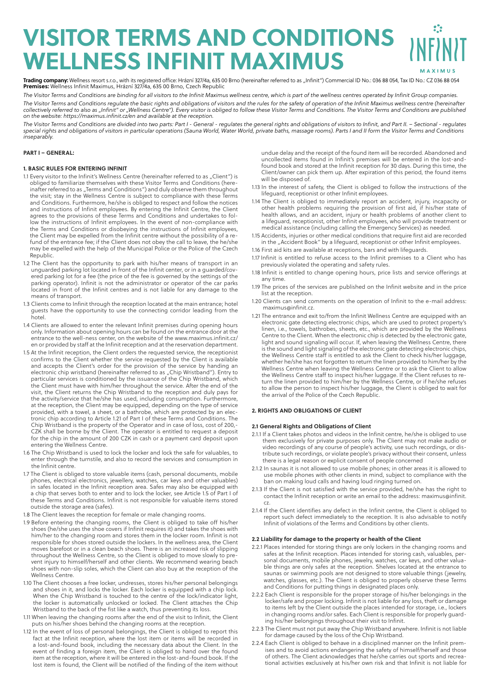# **VISITOR TERMS AND CONDITIONS WELLNESS INFINIT MAXIMUS**

**Trading company:** Wellness resort s.r.o., with its registered office: Hrázní 327/4a, 635 00 Brno (hereinafter referred to as "Infinit") Commercial ID No.: 036 88 054, Tax ID No.: CZ 036 88 054<br>**Premises:** Wellness Infinit

*The Visitor Terms and Conditions are binding for all visitors to the Infinit Maximus wellness centre, which is part of the wellness centres operated by Infinit Group companies. The Visitor Terms and Conditions regulate the basic rights and obligations of visitors and the rules for the safety of operation of the Infinit Maximus wellness centre (hereinafter collectively referred to also as "Infinit" or "Wellness Centre"). Every visitor is obliged to follow these Visitor Terms and Conditions. The Visitor Terms and Conditions are published on the website: https://maximus.infinit.cz/en and available at the reception.* 

The Visitor Terms and Conditions are divided into two parts: Part I - General - regulates the general rights and obligations of visitors to Infinit, and Part II. - Sectional - regulates *special rights and obligations of visitors in particular operations (Sauna World, Water World, private baths, massage rooms). Parts I and II form the Visitor Terms and Conditions inseparably.*

## **PART I – GENERAL:**

## **1. BASIC RULES FOR ENTERING INFINIT**

- 1.1 Every visitor to the Infinit's Wellness Centre (hereinafter referred to as "Client") is obliged to familiarize themselves with these Visitor Terms and Conditions (hereinafter referred to as "Terms and Conditions") and duly observe them throughout the visit; stay in the Wellness Centre is subject to compliance with these Terms and Conditions. Furthermore, he/she is obliged to respect and follow the notices and instructions of Infinit employees. By entering the Infinit Centre, the Client agrees to the provisions of these Terms and Conditions and undertakes to follow the instructions of Infinit employees. In the event of non-compliance with the Terms and Conditions or disobeying the instructions of Infinit employees, the Client may be expelled from the Infinit centre without the possibility of a refund of the entrance fee; if the Client does not obey the call to leave, the he/she may be expelled with the help of the Municipal Police or the Police of the Czech Republic.
- 1.2 The Client has the opportunity to park with his/her means of transport in an unguarded parking lot located in front of the Infinit center, or in a guarded/covered parking lot for a fee (the price of the fee is governed by the settings of the parking operator). Infinit is not the administrator or operator of the car parks located in front of the Infinit centres and is not liable for any damage to the means of transport.
- 1.3 Clients come to Infinit through the reception located at the main entrance; hotel guests have the opportunity to use the connecting corridor leading from the hotel.
- 1.4 Clients are allowed to enter the relevant Infinit premises during opening hours only. Information about opening hours can be found on the entrance door at the entrance to the well-ness center, on the website of the www.maximus.infinit.cz/ en or provided by staff at the Infinit reception and at the reservation department.
- 1.5 At the Infinit reception, the Client orders the requested service, the receptionist confirms to the Client whether the service requested by the Client is available and accepts the Client's order for the provision of the service by handing an electronic chip wristband (hereinafter referred to as "Chip Wristband"). Entry to particular services is conditioned by the issuance of the Chip Wristband, which the Client must have with him/her throughout the service. After the end of the visit, the Client returns the Chip Wristband to the reception and duly pays for the activity/service that he/she has used, including consumption. Furthermore, at the reception, the Client may be equipped, depending on the type of service provided, with a towel, a sheet, or a bathrobe, which are protected by an electronic chip according to Article 1.21 of Part I of these Terms and Conditions. The Chip Wristband is the property of the Operator and in case of loss, cost of 200,- CZK shall be borne by the Client. The operator is entitled to request a deposit for the chip in the amount of 200 CZK in cash or a payment card deposit upon entering the Wellness Centre.
- 1.6 The Chip Wristband is used to lock the locker and lock the safe for valuables, to enter through the turnstile, and also to record the services and consumption in the Infinit centre.
- 1.7 The Client is obliged to store valuable items (cash, personal documents, mobile phones, electrical electronics, jewellery, watches, car keys and other valuables) in safes located in the Infinit reception area. Safes may also be equipped with a chip that serves both to enter and to lock the locker, see Article 1.5 of Part I of these Terms and Conditions. Infinit is not responsible for valuable items stored outside the storage area (safes).
- 1.8 The Client leaves the reception for female or male changing rooms.
- 1.9 Before entering the changing rooms, the Client is obliged to take off his/her shoes (he/she uses the shoe covers if Infinit requires it) and takes the shoes with him/her to the changing room and stores them in the locker room. Infinit is not responsible for shoes stored outside the lockers. In the wellness area, the Client moves barefoot or in a clean beach shoes. There is an increased risk of slipping throughout the Wellness Centre, so the Client is obliged to move slowly to prevent injury to himself/herself and other clients. We recommend wearing beach shoes with non-slip soles, which the Client can also buy at the reception of the Wellness Centre.
- 1.10 The Client chooses a free locker, undresses, stores his/her personal belongings and shoes in it, and locks the locker. Each locker is equipped with a chip lock. When the Chip Wristband is touched to the centre of the lock/indicator light, the locker is automatically unlocked or locked. The Client attaches the Chip Wristband to the back of the fist like a watch, thus preventing its loss.
- 1.11 When leaving the changing rooms after the end of the visit to Infinit, the Client puts on his/her shoes behind the changing rooms at the reception.
- 1.12 In the event of loss of personal belongings, the Client is obliged to report this fact at the Infinit reception, where the lost item or items will be recorded in a lost-and-found book, including the necessary data about the Client. In the event of finding a foreign item, the Client is obliged to hand over the found item at the reception, where it will be entered in the lost-and-found book. If the lost item is found, the Client will be notified of the finding of the item without

undue delay and the receipt of the found item will be recorded. Abandoned and uncollected items found in Infinit's premises will be entered in the lost-andfound book and stored at the Infinit reception for 30 days. During this time, the Client/owner can pick them up. After expiration of this period, the found items will be disposed of.

- 1.13 In the interest of safety, the Client is obliged to follow the instructions of the lifeguard, receptionist or other Infinit employees.
- 1.14 The Client is obliged to immediately report an accident, injury, incapacity or other health problems requiring the provision of first aid, if his/her state of health allows, and an accident, injury or health problems of another client to a lifeguard, receptionist, other Infinit employees, who will provide treatment or medical assistance (including calling the Emergency Services) as needed.
- 1.15 Accidents, injuries or other medical conditions that require first aid are recorded in the "Accident Book" by a lifeguard, receptionist or other Infinit employees.
- 1.16 First aid kits are available at receptions, bars and with lifeguards.
- 1.17 Infinit is entitled to refuse access to the Infinit premises to a Client who has previously violated the operating and safety rules.
- 1.18 Infinit is entitled to change opening hours, price lists and service offerings at any time.
- 1.19 The prices of the services are published on the Infinit website and in the price list at the reception.
- 1.20 Clients can send comments on the operation of Infinit to the e-mail address: maximus@infinit.cz.
- 1.21 The entrance and exit to/from the Infinit Wellness Centre are equipped with an electronic gate detecting electronic chips, which are used to protect property's linen, i.e., towels, bathrobes, sheets, etc., which are provided by the Wellness Centre to the Client. When the electronic chip is detected by the electronic gate, light and sound signaling will occur. If, when leaving the Wellness Centre, there is the sound and light signaling of the electronic gate detecting electronic chips, the Wellness Centre staff is entitled to ask the Client to check his/her luggage, whether he/she has not forgotten to return the linen provided to him/her by the Wellness Centre when leaving the Wellness Centre or to ask the Client to allow the Wellness Centre staff to inspect his/her luggage. If the Client refuses to return the linen provided to him/her by the Wellness Centre, or if he/she refuses to allow the person to inspect his/her luggage, the Client is obliged to wait for the arrival of the Police of the Czech Republic.

## **2. RIGHTS AND OBLIGATIONS OF CLIENT**

## **2.1 General Rights and Obligations of Client**

- 2.1.1 If a Client takes photos and videos in the Infinit centre, he/she is obliged to use them exclusively for private purposes only. The Client may not make audio or video recordings of any course of people's activity, use such recordings, or distribute such recordings, or violate people's privacy without their consent, unless there is a legal reason or explicit consent of people concerned
- 2.1.2 In saunas it is not allowed to use mobile phones; in other areas it is allowed to use mobile phones with other clients in mind, subject to compliance with the ban on making loud calls and having loud ringing turned on.
- 2.1.3 If the Client is not satisfied with the service provided, he/she has the right to contact the Infinit reception or write an email to the address: maximus@infinit. cz.
- 2.1.4 If the Client identifies any defect in the Infinit centre, the Client is obliged to report such defect immediately to the reception. It is also advisable to notify Infinit of violations of the Terms and Conditions by other clients.

## **2.2 Liability for damage to the property or health of the Client**

- 2.2.1 Places intended for storing things are only lockers in the changing rooms and safes at the Infinit reception. Places intended for storing cash, valuables, personal documents, mobile phones, jewelry, watches, car keys, and other valuable things are only safes at the reception. Shelves located at the entrance to saunas or swimming pools are not designed to store valuable things (jewelry, watches, glasses, etc.). The Client is obliged to properly observe these Terms and Conditions for putting things in designated places only.
- 2.2.2 Each Client is responsible for the proper storage of his/her belongings in the locker/safe and proper locking. Infinit is not liable for any loss, theft or damage to items left by the Client outside the places intended for storage, i.e., lockers in changing rooms and/or safes. Each Client is responsible for properly guarding his/her belongings throughout their visit to Infinit.
- 2.2.3 The Client must not put away the Chip Wristband anywhere. Infinit is not liable for damage caused by the loss of the Chip Wristband.
- 2.2.4 Each Client is obliged to behave in a disciplined manner on the Infinit premises and to avoid actions endangering the safety of himself/herself and those of others. The Client acknowledges that he/she carries out sports and recreational activities exclusively at his/her own risk and that Infinit is not liable for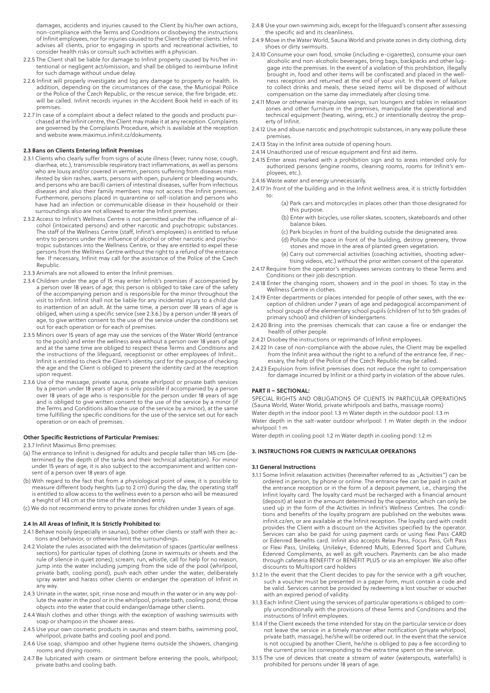damages, accidents and injuries caused to the Client by his/her own actions, non-compliance with the Terms and Conditions or disobeying the instructions of Infinit employees, nor for injuries caused to the Client by other clients. Infinit advises all clients, prior to engaging in sports and recreational activities, to consider health risks or consult such activities with a physician.

- 2.2.5 The Client shall be liable for damage to Infinit property caused by his/her intentional or negligent act/omission, and shall be obliged to reimburse Infinit for such damage without undue delay.
- 2.2.6 Infinit will properly investigate and log any damage to property or health. In addition, depending on the circumstances of the case, the Municipal Police or the Police of the Czech Republic, or the rescue service, the fire brigade, etc. will be called. Infinit records injuries in the Accident Book held in each of its premises.
- 2.2.7 In case of a complaint about a defect related to the goods and products purchased at the Infinit centre, the Client may make it at any reception. Complaints are governed by the Complaints Procedure, which is available at the reception and website www.maximus.infinit.cz/dokumenty.

## **2.3 Bans on Clients Entering Infinit Premises**

- 2.3.1 Clients who clearly suffer from signs of acute illness (fever, runny nose, cough, diarrhea, etc.), transmissible respiratory tract inflammations, as well as persons who are lousy and/or covered in vermin, persons suffering from diseases manifested by skin rashes, warts, persons with open, purulent or bleeding wounds, and persons who are bacilli carriers of intestinal diseases, suffer from infectious diseases and also their family members may not access the Infinit premises. Furthermore, persons placed in quarantine or self-isolation and persons who have had an infection or communicable disease in their household or their surroundings also are not allowed to enter the Infinit premises.
- 2.3.2 Access to Infinit's Wellness Centre is not permitted under the influence of alcohol (intoxicated persons) and other narcotic and psychotropic substances. The staff of the Wellness Centre (staff, Infinit's employees) is entitled to refuse entry to persons under the influence of alcohol or other narcotic and psychotropic substances into the Wellness Centre, or they are entitled to expel these persons from the Wellness Centre without the right to a refund of the entrance fee. If necessary, Infinit may call for the assistance of the Police of the Czech Republic.
- 2.3.3 Animals are not allowed to enter the Infinit premises.
- 2.3.4 Children under the age of 15 may enter Infinit's premises if accompanied by a person over 18 years of age; this person is obliged to take care of the safety of the accompanying person and is responsible for the minor throughout the visit to Infinit. Infinit shall not be liable for any incidental injury to a child due to inattention of an adult. At the same time, a person over 18 years of age is obliged, when using a specific service (see 2.3.6.) by a person under 18 years of age, to give written consent to the use of the service under the conditions set out for each operation or for each of premises.
- 2.3.5 Minors over 15 years of age may use the services of the Water World (entrance to the pools) and enter the wellness area without a person over 18 years of age and at the same time are obliged to respect these Terms and Conditions and the instructions of the lifeguard, receptionist or other employees of Infinit... Infinit is entitled to check the Client's identity card for the purpose of checking the age and the Client is obliged to present the identity card at the reception upon request.
- 2.3.6 Use of the massage, private sauna, private whirlpool or private bath services by a person under 18 years of age is only possible if accompanied by a person over 18 years of age who is responsible for the person under 18 years of age and is obliged to give written consent to the use of the service by a minor (if the Terms and Conditions allow the use of the service by a minor), at the same time fulfilling the specific conditions for the use of the service set out for each operation or on each of premises.

#### **Other Specific Restrictions of Particular Premises:**

2.3.7 Infinit Maximus Brno premises:

- (a) The entrance to Infinit is designed for adults and people taller than 145 cm (determined by the depth of the tanks and their technical adaptation). For minor under 15 years of age, it is also subject to the accompaniment and written consent of a person over 18 years of age.
- (b) With regard to the fact that from a physiological point of view, it is possible to measure different body heights (up to 2 cm) during the day, the operating staff is entitled to allow access to the wellness even to a person who will be measured a height of 143 cm at the time of the intended entry.
- (c) We do not recommend entry to private zones for children under 3 years of age.

#### **2.4 In All Areas of Infinit, It Is Strictly Prohibited to:**

- 2.4.1 Behave noisily (especially in saunas), bother other clients or staff with their actions and behavior, or otherwise limit the surroundings.
- 2.4.2 Violate the rules associated with the delimitation of spaces (particular wellness sections) for particular types of clothing (zone in swimsuits or sheets and the rule of silence in quiet zones); scream, run, whistle, call for help for no reason, jump into the water including jumping from the side of the pool (whirlpool, private bath, cooling pond), push each other under the water, deliberately spray water and harass other clients or endanger the operation of Infinit in any way.
- 2.4.3 Urinate in the water, spit, rinse nose and mouth in the water or in any way pollute the water in the pool or in the whirlpool, private bath, cooling pond; throw objects into the water that could endanger/damage other clients.
- 2.4.4 Wash clothes and other things with the exception of washing swimsuits with soap or shampoo in the shower areas.
- 2.4.5 Use your own cosmetic products in saunas and steam baths, swimming pool, whirlpool, private baths and cooling pool and pond.
- 2.4.6 Use soap, shampoo and other hygiene items outside the showers, changing rooms and drying rooms.
- 2.4.7 Be lubricated with cream or ointment before entering the pools, whirlpool, private baths and cooling bath.
- 2.4.8 Use your own swimming aids, except for the lifeguard's consent after assessing the specific aid and its cleanliness.
- 2.4.9 Move in the Water World, Sauna World and private zones in dirty clothing, dirty shoes or dirty swimsuits.
- 2.4.10 Consume your own food, smoke (including e-cigarettes), consume your own alcoholic and non-alcoholic beverages, bring bags, backpacks and other luggage into the premises. In the event of a violation of this prohibition, illegally brought in, food and other items will be confiscated and placed in the wellness reception and returned at the end of your visit. In the event of failure to collect drinks and meals, these seized items will be disposed of without compensation on the same day immediately after closing time.
- 2.4.11 Move or otherwise manipulate swings, sun loungers and tables in relaxation zones and other furniture in the premises, manipulate the operational and technical equipment (heating, wiring, etc.) or intentionally destroy the property of Infinit.
- 2.4.12 Use and abuse narcotic and psychotropic substances, in any way pollute these premises.
- 2.4.13 Stay in the Infinit area outside of opening hours.
- 2.4.14 Unauthorized use of rescue equipment and first aid items.
- 2.4.15 Enter areas marked with a prohibition sign and to areas intended only for authorized persons (engine rooms, cleaning rooms, rooms for Infinit's employees, etc.).
- 2.4.16 Waste water and energy unnecessarily.
- 2.4.17 In front of the building and in the Infinit wellness area, it is strictly forbidden to:
	- (a) Park cars and motorcycles in places other than those designated for this purpose.
	- (b) Enter with bicycles, use roller skates, scooters, skateboards and other balance bikes.
	- (c) Park bicycles in front of the building outside the designated area.
	- (d) Pollute the space in front of the building, destroy greenery, throw stones and move in the area of planted green vegetation.
	- (e) Carry out commercial activities (coaching activities, shooting adver-
- tising videos, etc.) without the prior written consent of the operator. 2.4.17 Require from the operator's employees services contrary to these Terms and
- Conditions or their job description. 2.4.18 Enter the changing room, showers and in the pool in shoes. To stay in the
- Wellness Centre in clothes. 2.4.19 Enter departments or places intended for people of other sexes, with the exception of children under 7 years of age and pedagogical accompaniment of school groups of the elementary school pupils (children of 1st to 5th grades of primary school) and children of kindergartens.
- 2.4.20 Bring into the premises chemicals that can cause a fire or endanger the health of other people.
- 2.4.21 Disobey the instructions or reprimands of Infinit employees.
- 2.4.22 In case of non-compliance with the above rules, the Client may be expelled from the Infinit area without the right to a refund of the entrance fee, if necessary, the help of the Police of the Czech Republic may be called.
- 2.4.23 Expulsion from Infinit premises does not reduce the right to compensation for damage incurred by Infinit or a third party in violation of the above rules.

## **PART II – SECTIONAL:**

SPECIAL RIGHTS AND OBLIGATIONS OF CLIENTS IN PARTICULAR OPERATIONS (Sauna World, Water World, private whirlpools and baths, massage rooms) Water depth in the indoor pool: 1.3 m Water depth in the outdoor pool: 1.3 m Water depth in the salt-water outdoor whirlpool: 1 m Water depth in the indoor whirlpool: 1 m

Water depth in cooling pool: 1.2 m Water depth in cooling pond: 1.2 m

## **3. INSTRUCTIONS FOR CLIENTS IN PARTICULAR OPERATIONS**

#### **3.1 General Instructions**

- 3.1.1 Some Infinit relaxation activities (hereinafter referred to as "Activities") can be ordered in person, by phone or online. The entrance fee can be paid in cash at the entrance reception or in the form of a deposit payment, i.e., charging the Infinit loyalty card. The loyalty card must be recharged with a financial amount (deposit) at least in the amount determined by the operator, which can only be used up in the form of the Activities in Infinit's Wellness Centres. The conditions and benefits of the loyalty program are published on the websites www. infinit.cz/en, or are available at the Infinit reception. The loyalty card with credit provides the Client with a discount on the Activities specified by the operator. Services can also be paid for using payment cards or using flexi Pass CARD or Edenred Benefits card. Infinit also accepts Relax Pass, Focus Pass, Gift Pass or Flexi Pass, Unišeky, Unišeky+, Edenred Multi, Edenred Sport and Culture, Edenred Compliments, as well as gift vouchers. Payments can be also made through cafeteria BENEFITY or BENEFIT PLUS or via an employer. We also offer discounts to Multisport card holders
- 3.1.2 In the event that the Client decides to pay for the service with a gift voucher, such a voucher must be presented in a paper form, must contain a code and be valid. Services cannot be provided by redeeming a lost voucher or voucher with an expired period of validity.
- 3.1.3 Each Infinit Client using the services of particular operations is obliged to comply unconditionally with the provisions of these Terms and Conditions and the instructions of Infinit employees.
- 3.1.4 If the Client exceeds the time intended for stay on the particular service or does not leave the service in a timely manner after notification (private whirlpool, private bath, massage), he/she will be ordered out. In the event that the service is not occupied by another Client, he/she is obliged to pay a fee according to the current price list corresponding to the extra time spent on the service.
- 3.1.5 The use of devices that create a stream of water (waterspouts, waterfalls) is prohibited for persons under 18 years of age.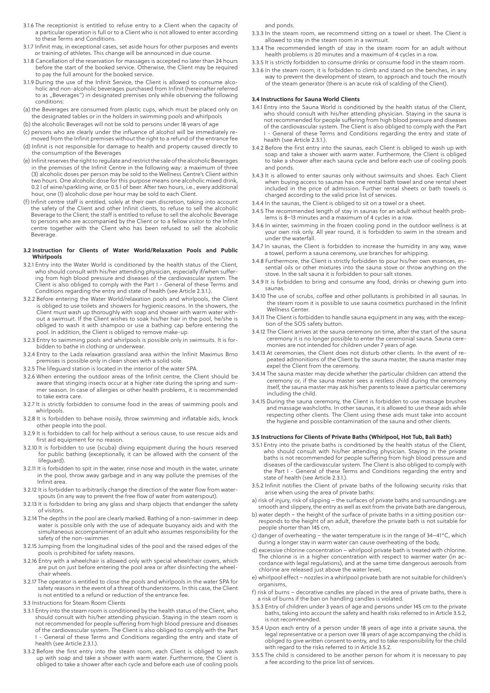- 3.1.6 The receptionist is entitled to refuse entry to a Client when the capacity of a particular operation is full or to a Client who is not allowed to enter according to these Terms and Conditions.
- 3.1.7 Infinit may, in exceptional cases, set aside hours for other purposes and events or training of athletes. This change will be announced in due course.
- 3.1.8 Cancellation of the reservation for massages is accepted no later than 24 hours before the start of the booked service. Otherwise, the Client may be required to pay the full amount for the booked service.
- 3.1.9 During the use of the Infinit Service, the Client is allowed to consume alcoholic and non-alcoholic beverages purchased from Infinit (hereinafter referred to as "Beverages") in designated premises only while observing the following conditions:
- (a) the Beverages are consumed from plastic cups, which must be placed only on the designated tables or in the holders in swimming pools and whirlpools
- (b) the alcoholic Beverages will not be sold to persons under 18 years of age
- (c) persons who are clearly under the influence of alcohol will be immediately removed from the Infinit premises without the right to a refund of the entrance fee (d) Infinit is not responsible for damage to health and property caused directly to
- the consumption of the Beverages (e) Infinit reserves the right to regulate and restrict the sale of the alcoholic Beverages in the premises of the Infinit Centre in the following way: a maximum of three (3) alcoholic doses per person may be sold to the Wellness Centre's Client within two hours. One alcoholic dose for this purpose means one alcoholic mixed drink, 0.2 l of wine/sparkling wine, or 0.5 l of beer. After two hours, i.e., every additional hour, one (1) alcoholic dose per hour may be sold to each Client.
- (f) Infinit centre staff is entitled, solely at their own discretion, taking into account the safety of the Client and other Infinit clients, to refuse to sell the alcoholic Beverage to the Client; the staff is entitled to refuse to sell the alcoholic Beverage to persons who are accompanied by the Client or to a fellow visitor to the Infinit centre together with the Client who has been refused to sell the alcoholic Beverage.

#### **3.2 Instruction for Clients of Water World/Relaxation Pools and Public Whirlpools**

- 3.2.1 Entry into the Water World is conditioned by the health status of the Client, who should consult with his/her attending physician, especially if/when suffering from high blood pressure and diseases of the cardiovascular system. The Client is also obliged to comply with the Part I - General of these Terms and Conditions regarding the entry and state of health (see Article 2.3.1.).
- 3.2.2 Before entering the Water World/relaxation pools and whirlpools, the Client is obliged to use toilets and showers for hygienic reasons. In the showers, the Client must wash up thoroughly with soap and shower with warm water without a swimsuit. If the Client wishes to soak his/her hair in the pool, he/she is obliged to wash it with shampoo or use a bathing cap before entering the pool. In addition, the Client is obliged to remove make-up.
- 3.2.3 Entry to swimming pools and whirlpools is possible only in swimsuits. It is forbidden to bathe in clothing or underwear.
- 3.2.4 Entry to the Lada relaxation grassland area within the Infinit Maximus Brno premises is possible only in clean shoes with a solid sole.
- 3.2.5 The lifeguard station is located in the interior of the water SPA.
- 3.2.6 When entering the outdoor areas of the Infinit centre, the Client should be aware that stinging insects occur at a higher rate during the spring and summer season. In case of allergies or other health problems, it is recommended to take extra care
- 3.2.7 It is strictly forbidden to consume food in the areas of swimming pools and whirlpools.
- 3.2.8 It is forbidden to behave noisily, throw swimming and inflatable aids, knock other people into the pool.
- 3.2.9 It is forbidden to call for help without a serious cause, to use rescue aids and first aid equipment for no reason.
- 3.2.10 It is forbidden to use (scuba) diving equipment during the hours reserved for public bathing (exceptionally, it can be allowed with the consent of the lifeguard).
- 3.2.11 It is forbidden to spit in the water, rinse nose and mouth in the water, urinate in the pool, throw away garbage and in any way pollute the premises of the Infinit area.
- 3.2.12 It is forbidden to arbitrarily change the direction of the water flow from waterspouts (in any way to prevent the free flow of water from waterspout).
- 3.2.13 It is forbidden to bring any glass and sharp objects that endanger the safety of visitors.
- 3.2.14 The depths in the pool are clearly marked. Bathing of a non-swimmer in deep water is possible only with the use of adequate buoyancy aids and with the simultaneous accompaniment of an adult who assumes responsibility for the safety of the non-swimmer.
- 3.2.15 Jumping from the longitudinal sides of the pool and the raised edges of the pools is prohibited for safety reasons.
- 3.2.16 Entry with a wheelchair is allowed only with special wheelchair covers, which are put on just before entering the pool area or after disinfecting the wheelchair wheels.
- 3.2.17 The operator is entitled to close the pools and whirlpools in the water SPA for safety reasons in the event of a threat of thunderstorms. In this case, the Client is not entitled to a refund or reduction of the entrance fee.
- 3.3 Instructions for Steam Room Clients
- 3.3.1 Entry into the steam room is conditioned by the health status of the Client, who should consult with his/her attending physician. Staying in the steam room is not recommended for people suffering from high blood pressure and diseases of the cardiovascular system. The Client is also obliged to comply with the Part - General of these Terms and Conditions regarding the entry and state of health (see Article 2.3.1.).
- 3.3.2 Before the first entry into the steam room, each Client is obliged to wash up with soap and take a shower with warm water. Furthermore, the Client is obliged to take a shower after each cycle and before each use of cooling pools

and ponds.

- 3.3.3 In the steam room, we recommend sitting on a towel or sheet. The Client is allowed to stay in the steam room in a swimsuit.
- 3.3.4 The recommended length of stay in the steam room for an adult without health problems is 20 minutes and a maximum of 4 cycles in a row.
- 3.3.5 It is strictly forbidden to consume drinks or consume food in the steam room.
- 3.3.6 In the steam room, it is forbidden to climb and stand on the benches, in any way to prevent the development of steam, to approach and touch the mouth of the steam generator (there is an acute risk of scalding of the Client).

#### **3.4 Instructions for Sauna World Clients**

- 3.4.1 Entry into the Sauna World is conditioned by the health status of the Client, who should consult with his/her attending physician. Staying in the sauna is not recommended for people suffering from high blood pressure and diseases of the cardiovascular system. The Client is also obliged to comply with the Part I - General of these Terms and Conditions regarding the entry and state of health (see Article 2.3.1.).
- 3.4.2 Before the first entry into the saunas, each Client is obliged to wash up with soap and take a shower with warm water. Furthermore, the Client is obliged to take a shower after each sauna cycle and before each use of cooling pools and ponds.
- 3.4.3 It is allowed to enter saunas only without swimsuits and shoes. Each Client when buying access to saunas has one rental bath towel and one rental sheet included in the price of admission. Further rental sheets or bath towels is charged according to the valid price list of services.
- 3.4.4 In the saunas, the Client is obliged to sit on a towel or a sheet.
- 3.4.5 The recommended length of stay in saunas for an adult without health problems is 8–13 minutes and a maximum of 4 cycles in a row.
- 3.4.6 In winter, swimming in the frozen cooling pond in the outdoor wellness is at your own risk only. All year round, it is forbidden to swim in the stream and under the waterfall.
- 3.4.7 In saunas, the Client is forbidden to increase the humidity in any way, wave a towel, perform a sauna ceremony, use branches for whipping.
- 3.4.8 Furthermore, the Client is strictly forbidden to pour his/her own essences, essential oils or other mixtures into the sauna stove or throw anything on the stove. In the salt sauna it is forbidden to pour salt stones.
- 3.4.9 It is forbidden to bring and consume any food, drinks or chewing gum into saunas.
- 3.4.10 The use of scrubs, coffee and other pollutants is prohibited in all saunas. In the steam room it is possible to use sauna cosmetics purchased in the Infinit Wellness Center.
- 3.4.11 The Client is forbidden to handle sauna equipment in any way, with the exception of the SOS safety button.
- 3.4.12 The Client arrives at the sauna ceremony on time, after the start of the sauna ceremony it is no longer possible to enter the ceremonial sauna. Sauna ceremonies are not intended for children under 7 years of age.
- 3.4.13 At ceremonies, the Client does not disturb other clients. In the event of repeated admonitions of the Client by the sauna master, the sauna master may expel the Client from the ceremony.
- 3.4.14 The sauna master may decide whether the particular children can attend the ceremony or, if the sauna master sees a restless child during the ceremony itself, the sauna master may ask his/her parents to leave a particular ceremony including the child.
- 3.4.15 During the sauna ceremony, the Client is forbidden to use massage brushes and massage washcloths. In other saunas, it is allowed to use these aids while respecting other clients. The Client using these aids must take into account the hygiene and possible contamination of the sauna and other clients.

## **3.5 Instructions for Clients of Private Baths (Whirlpool, Hot Tub, Bali Bath)**

- 3.5.1 Entry into the private baths is conditioned by the health status of the Client, who should consult with his/her attending physician. Staying in the private baths is not recommended for people suffering from high blood pressure and diseases of the cardiovascular system. The Client is also obliged to comply with the Part I - General of these Terms and Conditions regarding the entry and state of health (see Article 2.3.1.).
- 3.5.2 Infinit notifies the Client of private baths of the following security risks that arise when using the area of private baths:
- a) risk of injury, risk of slipping the surfaces of private baths and surroundings are smooth and slippery, the entry as well as exit from the private bath are dangerous,
- b) water depth the height of the surface of private baths in a sitting position corresponds to the height of an adult, therefore the private bath is not suitable for people shorter than 145 cm,
- c) danger of overheating the water temperature is in the range of 34–41°C, which during a longer stay in warm water can cause overheating of the body,
- d) excessive chlorine concentration whirlpool private bath is treated with chlorine. The chlorine is in a higher concentration with respect to warmer water (in accordance with legal regulations), and at the same time dangerous aerosols from chlorine are released just above the water level,
- e) whirlpool effect nozzles in a whirlpool private bath are not suitable for children's organisms,
- f) risk of burns decorative candles are placed in the area of private baths, there is a risk of burns if the ban on handling candles is violated.
- 3.5.3 Entry of children under 3 years of age and persons under 145 cm to the private baths, taking into account the safety and health risks referred to in Article 3.5.2, is not recommended.
- 3.5.4 Upon each entry of a person under 18 years of age into a private sauna, the legal representative or a person over 18 years of age accompanying the child is obliged to give written consent to entry, and to take responsibility for the child with regard to the risks referred to in Article 3.5.2.
- 3.5.5 The child is considered to be another person for whom it is necessary to pay a fee according to the price list of services.